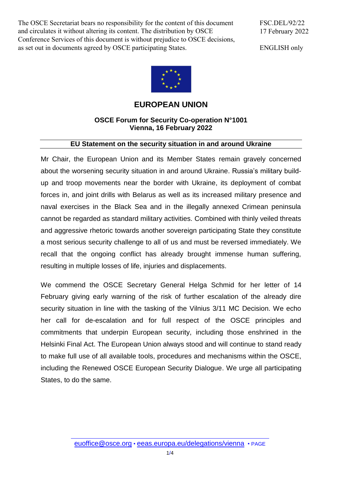The OSCE Secretariat bears no responsibility for the content of this document and circulates it without altering its content. The distribution by OSCE Conference Services of this document is without prejudice to OSCE decisions, as set out in documents agreed by OSCE participating States.

FSC.DEL/92/22 17 February 2022

ENGLISH only



## **EUROPEAN UNION**

## **OSCE Forum for Security Co-operation N°1001 Vienna, 16 February 2022**

## **EU Statement on the security situation in and around Ukraine**

Mr Chair, the European Union and its Member States remain gravely concerned about the worsening security situation in and around Ukraine. Russia's military buildup and troop movements near the border with Ukraine, its deployment of combat forces in, and joint drills with Belarus as well as its increased military presence and naval exercises in the Black Sea and in the illegally annexed Crimean peninsula cannot be regarded as standard military activities. Combined with thinly veiled threats and aggressive rhetoric towards another sovereign participating State they constitute a most serious security challenge to all of us and must be reversed immediately. We recall that the ongoing conflict has already brought immense human suffering, resulting in multiple losses of life, injuries and displacements.

We commend the OSCE Secretary General Helga Schmid for her letter of 14 February giving early warning of the risk of further escalation of the already dire security situation in line with the tasking of the Vilnius 3/11 MC Decision. We echo her call for de-escalation and for full respect of the OSCE principles and commitments that underpin European security, including those enshrined in the Helsinki Final Act. The European Union always stood and will continue to stand ready to make full use of all available tools, procedures and mechanisms within the OSCE, including the Renewed OSCE European Security Dialogue. We urge all participating States, to do the same.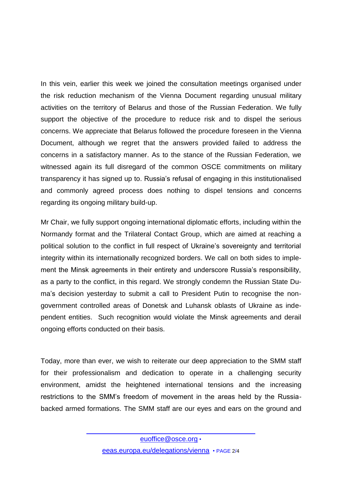In this vein, earlier this week we joined the consultation meetings organised under the risk reduction mechanism of the Vienna Document regarding unusual military activities on the territory of Belarus and those of the Russian Federation. We fully support the objective of the procedure to reduce risk and to dispel the serious concerns. We appreciate that Belarus followed the procedure foreseen in the Vienna Document, although we regret that the answers provided failed to address the concerns in a satisfactory manner. As to the stance of the Russian Federation, we witnessed again its full disregard of the common OSCE commitments on military transparency it has signed up to. Russia's refusal of engaging in this institutionalised and commonly agreed process does nothing to dispel tensions and concerns regarding its ongoing military build-up.

Mr Chair, we fully support ongoing international diplomatic efforts, including within the Normandy format and the Trilateral Contact Group, which are aimed at reaching a political solution to the conflict in full respect of Ukraine's sovereignty and territorial integrity within its internationally recognized borders. We call on both sides to implement the Minsk agreements in their entirety and underscore Russia's responsibility, as a party to the conflict, in this regard. We strongly condemn the Russian State Duma's decision yesterday to submit a call to President Putin to recognise the nongovernment controlled areas of Donetsk and Luhansk oblasts of Ukraine as independent entities. Such recognition would violate the Minsk agreements and derail ongoing efforts conducted on their basis.

Today, more than ever, we wish to reiterate our deep appreciation to the SMM staff for their professionalism and dedication to operate in a challenging security environment, amidst the heightened international tensions and the increasing restrictions to the SMM's freedom of movement in the areas held by the Russiabacked armed formations. The SMM staff are our eyes and ears on the ground and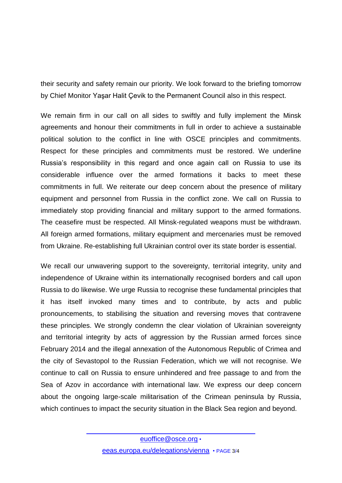their security and safety remain our priority. We look forward to the briefing tomorrow by Chief Monitor Yaşar Halit Çevik to the Permanent Council also in this respect.

We remain firm in our call on all sides to swiftly and fully implement the Minsk agreements and honour their commitments in full in order to achieve a sustainable political solution to the conflict in line with OSCE principles and commitments. Respect for these principles and commitments must be restored. We underline Russia's responsibility in this regard and once again call on Russia to use its considerable influence over the armed formations it backs to meet these commitments in full. We reiterate our deep concern about the presence of military equipment and personnel from Russia in the conflict zone. We call on Russia to immediately stop providing financial and military support to the armed formations. The ceasefire must be respected. All Minsk-regulated weapons must be withdrawn. All foreign armed formations, military equipment and mercenaries must be removed from Ukraine. Re-establishing full Ukrainian control over its state border is essential.

We recall our unwavering support to the sovereignty, territorial integrity, unity and independence of Ukraine within its internationally recognised borders and call upon Russia to do likewise. We urge Russia to recognise these fundamental principles that it has itself invoked many times and to contribute, by acts and public pronouncements, to stabilising the situation and reversing moves that contravene these principles. We strongly condemn the clear violation of Ukrainian sovereignty and territorial integrity by acts of aggression by the Russian armed forces since February 2014 and the illegal annexation of the Autonomous Republic of Crimea and the city of Sevastopol to the Russian Federation, which we will not recognise. We continue to call on Russia to ensure unhindered and free passage to and from the Sea of Azov in accordance with international law. We express our deep concern about the ongoing large-scale militarisation of the Crimean peninsula by Russia, which continues to impact the security situation in the Black Sea region and beyond.